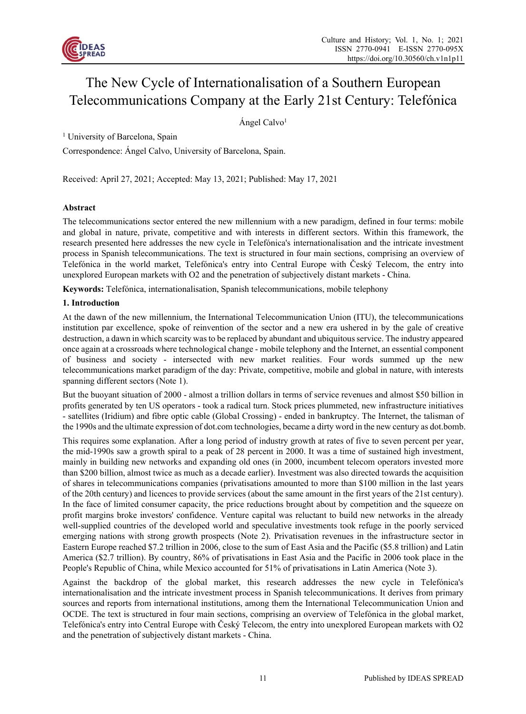

# The New Cycle of Internationalisation of a Southern European Telecommunications Company at the Early 21st Century: Telefónica

Ángel Calvo1

<sup>1</sup> University of Barcelona, Spain

Correspondence: Ángel Calvo, University of Barcelona, Spain.

Received: April 27, 2021; Accepted: May 13, 2021; Published: May 17, 2021

# **Abstract**

The telecommunications sector entered the new millennium with a new paradigm, defined in four terms: mobile and global in nature, private, competitive and with interests in different sectors. Within this framework, the research presented here addresses the new cycle in Telefónica's internationalisation and the intricate investment process in Spanish telecommunications. The text is structured in four main sections, comprising an overview of Telefónica in the world market, Telefónica's entry into Central Europe with Český Telecom, the entry into unexplored European markets with O2 and the penetration of subjectively distant markets - China.

**Keywords:** Telefónica, internationalisation, Spanish telecommunications, mobile telephony

## **1. Introduction**

At the dawn of the new millennium, the International Telecommunication Union (ITU), the telecommunications institution par excellence, spoke of reinvention of the sector and a new era ushered in by the gale of creative destruction, a dawn in which scarcity was to be replaced by abundant and ubiquitous service. The industry appeared once again at a crossroads where technological change - mobile telephony and the Internet, an essential component of business and society - intersected with new market realities. Four words summed up the new telecommunications market paradigm of the day: Private, competitive, mobile and global in nature, with interests spanning different sectors (Note 1).

But the buoyant situation of 2000 - almost a trillion dollars in terms of service revenues and almost \$50 billion in profits generated by ten US operators - took a radical turn. Stock prices plummeted, new infrastructure initiatives - satellites (Iridium) and fibre optic cable (Global Crossing) - ended in bankruptcy. The Internet, the talisman of the 1990s and the ultimate expression of dot.com technologies, became a dirty word in the new century as dot.bomb.

This requires some explanation. After a long period of industry growth at rates of five to seven percent per year, the mid-1990s saw a growth spiral to a peak of 28 percent in 2000. It was a time of sustained high investment, mainly in building new networks and expanding old ones (in 2000, incumbent telecom operators invested more than \$200 billion, almost twice as much as a decade earlier). Investment was also directed towards the acquisition of shares in telecommunications companies (privatisations amounted to more than \$100 million in the last years of the 20th century) and licences to provide services (about the same amount in the first years of the 21st century). In the face of limited consumer capacity, the price reductions brought about by competition and the squeeze on profit margins broke investors' confidence. Venture capital was reluctant to build new networks in the already well-supplied countries of the developed world and speculative investments took refuge in the poorly serviced emerging nations with strong growth prospects (Note 2). Privatisation revenues in the infrastructure sector in Eastern Europe reached \$7.2 trillion in 2006, close to the sum of East Asia and the Pacific (\$5.8 trillion) and Latin America (\$2.7 trillion). By country, 86% of privatisations in East Asia and the Pacific in 2006 took place in the People's Republic of China, while Mexico accounted for 51% of privatisations in Latin America (Note 3).

Against the backdrop of the global market, this research addresses the new cycle in Telefónica's internationalisation and the intricate investment process in Spanish telecommunications. It derives from primary sources and reports from international institutions, among them the International Telecommunication Union and OCDE. The text is structured in four main sections, comprising an overview of Telefónica in the global market, Telefónica's entry into Central Europe with Český Telecom, the entry into unexplored European markets with O2 and the penetration of subjectively distant markets - China.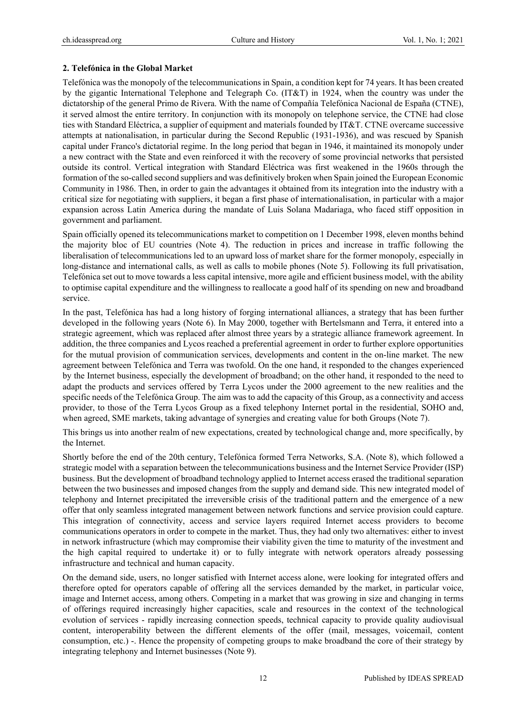#### **2. Telefónica in the Global Market**

Telefónica was the monopoly of the telecommunications in Spain, a condition kept for 74 years. It has been created by the gigantic International Telephone and Telegraph Co. (IT&T) in 1924, when the country was under the dictatorship of the general Primo de Rivera. With the name of Compañía Telefónica Nacional de España (CTNE), it served almost the entire territory. In conjunction with its monopoly on telephone service, the CTNE had close ties with Standard Eléctrica, a supplier of equipment and materials founded by IT&T. CTNE overcame successive attempts at nationalisation, in particular during the Second Republic (1931-1936), and was rescued by Spanish capital under Franco's dictatorial regime. In the long period that began in 1946, it maintained its monopoly under a new contract with the State and even reinforced it with the recovery of some provincial networks that persisted outside its control. Vertical integration with Standard Eléctrica was first weakened in the 1960s through the formation of the so-called second suppliers and was definitively broken when Spain joined the European Economic Community in 1986. Then, in order to gain the advantages it obtained from its integration into the industry with a critical size for negotiating with suppliers, it began a first phase of internationalisation, in particular with a major expansion across Latin America during the mandate of Luis Solana Madariaga, who faced stiff opposition in government and parliament.

Spain officially opened its telecommunications market to competition on 1 December 1998, eleven months behind the majority bloc of EU countries (Note 4). The reduction in prices and increase in traffic following the liberalisation of telecommunications led to an upward loss of market share for the former monopoly, especially in long-distance and international calls, as well as calls to mobile phones (Note 5). Following its full privatisation, Telefónica set out to move towards a less capital intensive, more agile and efficient business model, with the ability to optimise capital expenditure and the willingness to reallocate a good half of its spending on new and broadband service.

In the past, Telefónica has had a long history of forging international alliances, a strategy that has been further developed in the following years (Note 6). In May 2000, together with Bertelsmann and Terra, it entered into a strategic agreement, which was replaced after almost three years by a strategic alliance framework agreement. In addition, the three companies and Lycos reached a preferential agreement in order to further explore opportunities for the mutual provision of communication services, developments and content in the on-line market. The new agreement between Telefónica and Terra was twofold. On the one hand, it responded to the changes experienced by the Internet business, especially the development of broadband; on the other hand, it responded to the need to adapt the products and services offered by Terra Lycos under the 2000 agreement to the new realities and the specific needs of the Telefónica Group. The aim was to add the capacity of this Group, as a connectivity and access provider, to those of the Terra Lycos Group as a fixed telephony Internet portal in the residential, SOHO and, when agreed, SME markets, taking advantage of synergies and creating value for both Groups (Note 7).

This brings us into another realm of new expectations, created by technological change and, more specifically, by the Internet.

Shortly before the end of the 20th century, Telefónica formed Terra Networks, S.A. (Note 8), which followed a strategic model with a separation between the telecommunications business and the Internet Service Provider (ISP) business. But the development of broadband technology applied to Internet access erased the traditional separation between the two businesses and imposed changes from the supply and demand side. This new integrated model of telephony and Internet precipitated the irreversible crisis of the traditional pattern and the emergence of a new offer that only seamless integrated management between network functions and service provision could capture. This integration of connectivity, access and service layers required Internet access providers to become communications operators in order to compete in the market. Thus, they had only two alternatives: either to invest in network infrastructure (which may compromise their viability given the time to maturity of the investment and the high capital required to undertake it) or to fully integrate with network operators already possessing infrastructure and technical and human capacity.

On the demand side, users, no longer satisfied with Internet access alone, were looking for integrated offers and therefore opted for operators capable of offering all the services demanded by the market, in particular voice, image and Internet access, among others. Competing in a market that was growing in size and changing in terms of offerings required increasingly higher capacities, scale and resources in the context of the technological evolution of services - rapidly increasing connection speeds, technical capacity to provide quality audiovisual content, interoperability between the different elements of the offer (mail, messages, voicemail, content consumption, etc.) -. Hence the propensity of competing groups to make broadband the core of their strategy by integrating telephony and Internet businesses (Note 9).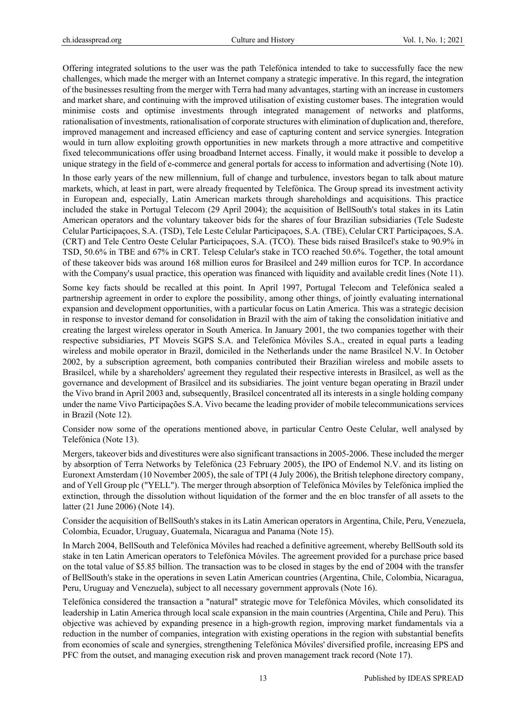Offering integrated solutions to the user was the path Telefónica intended to take to successfully face the new challenges, which made the merger with an Internet company a strategic imperative. In this regard, the integration of the businesses resulting from the merger with Terra had many advantages, starting with an increase in customers and market share, and continuing with the improved utilisation of existing customer bases. The integration would minimise costs and optimise investments through integrated management of networks and platforms, rationalisation of investments, rationalisation of corporate structures with elimination of duplication and, therefore, improved management and increased efficiency and ease of capturing content and service synergies. Integration would in turn allow exploiting growth opportunities in new markets through a more attractive and competitive fixed telecommunications offer using broadband Internet access. Finally, it would make it possible to develop a unique strategy in the field of e-commerce and general portals for access to information and advertising (Note 10).

In those early years of the new millennium, full of change and turbulence, investors began to talk about mature markets, which, at least in part, were already frequented by Telefónica. The Group spread its investment activity in European and, especially, Latin American markets through shareholdings and acquisitions. This practice included the stake in Portugal Telecom (29 April 2004); the acquisition of BellSouth's total stakes in its Latin American operators and the voluntary takeover bids for the shares of four Brazilian subsidiaries (Tele Sudeste Celular Participaçoes, S.A. (TSD), Tele Leste Celular Participaçoes, S.A. (TBE), Celular CRT Participaçoes, S.A. (CRT) and Tele Centro Oeste Celular Participaçoes, S.A. (TCO). These bids raised Brasilcel's stake to 90.9% in TSD, 50.6% in TBE and 67% in CRT. Telesp Celular's stake in TCO reached 50.6%. Together, the total amount of these takeover bids was around 168 million euros for Brasilcel and 249 million euros for TCP. In accordance with the Company's usual practice, this operation was financed with liquidity and available credit lines (Note 11).

Some key facts should be recalled at this point. In April 1997, Portugal Telecom and Telefónica sealed a partnership agreement in order to explore the possibility, among other things, of jointly evaluating international expansion and development opportunities, with a particular focus on Latin America. This was a strategic decision in response to investor demand for consolidation in Brazil with the aim of taking the consolidation initiative and creating the largest wireless operator in South America. In January 2001, the two companies together with their respective subsidiaries, PT Moveis SGPS S.A. and Telefónica Móviles S.A., created in equal parts a leading wireless and mobile operator in Brazil, domiciled in the Netherlands under the name Brasilcel N.V. In October 2002, by a subscription agreement, both companies contributed their Brazilian wireless and mobile assets to Brasilcel, while by a shareholders' agreement they regulated their respective interests in Brasilcel, as well as the governance and development of Brasilcel and its subsidiaries. The joint venture began operating in Brazil under the Vivo brand in April 2003 and, subsequently, Brasilcel concentrated all its interests in a single holding company under the name Vivo Participações S.A. Vivo became the leading provider of mobile telecommunications services in Brazil (Note 12).

Consider now some of the operations mentioned above, in particular Centro Oeste Celular, well analysed by Telefónica (Note 13).

Mergers, takeover bids and divestitures were also significant transactions in 2005-2006. These included the merger by absorption of Terra Networks by Telefónica (23 February 2005), the IPO of Endemol N.V. and its listing on Euronext Amsterdam (10 November 2005), the sale of TPI (4 July 2006), the British telephone directory company, and of Yell Group plc ("YELL"). The merger through absorption of Telefónica Móviles by Telefónica implied the extinction, through the dissolution without liquidation of the former and the en bloc transfer of all assets to the latter (21 June 2006) (Note 14).

Consider the acquisition of BellSouth's stakes in its Latin American operators in Argentina, Chile, Peru, Venezuela, Colombia, Ecuador, Uruguay, Guatemala, Nicaragua and Panama (Note 15).

In March 2004, BellSouth and Telefónica Móviles had reached a definitive agreement, whereby BellSouth sold its stake in ten Latin American operators to Telefónica Móviles. The agreement provided for a purchase price based on the total value of \$5.85 billion. The transaction was to be closed in stages by the end of 2004 with the transfer of BellSouth's stake in the operations in seven Latin American countries (Argentina, Chile, Colombia, Nicaragua, Peru, Uruguay and Venezuela), subject to all necessary government approvals (Note 16).

Telefónica considered the transaction a "natural" strategic move for Telefónica Móviles, which consolidated its leadership in Latin America through local scale expansion in the main countries (Argentina, Chile and Peru). This objective was achieved by expanding presence in a high-growth region, improving market fundamentals via a reduction in the number of companies, integration with existing operations in the region with substantial benefits from economies of scale and synergies, strengthening Telefónica Móviles' diversified profile, increasing EPS and PFC from the outset, and managing execution risk and proven management track record (Note 17).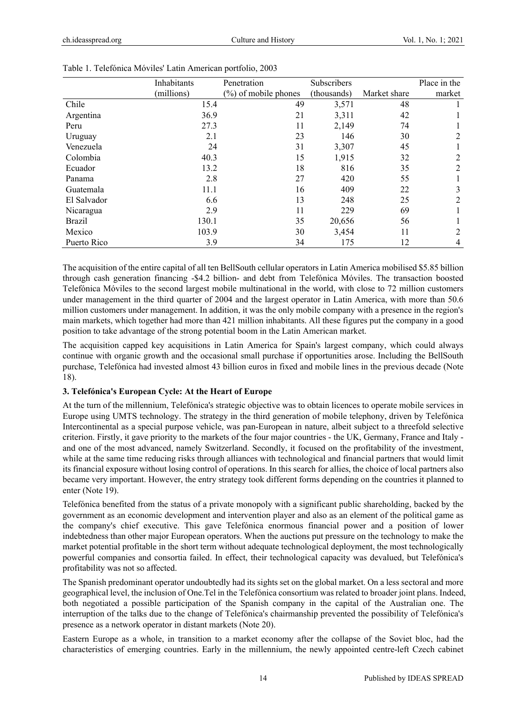|               | Inhabitants | Penetration             | Subscribers |              | Place in the |
|---------------|-------------|-------------------------|-------------|--------------|--------------|
|               | (millions)  | $(\%)$ of mobile phones | (thousands) | Market share | market       |
| Chile         | 15.4        | 49                      | 3,571       | 48           |              |
| Argentina     | 36.9        | 21                      | 3,311       | 42           |              |
| Peru          | 27.3        | 11                      | 2,149       | 74           |              |
| Uruguay       | 2.1         | 23                      | 146         | 30           | 2            |
| Venezuela     | 24          | 31                      | 3,307       | 45           |              |
| Colombia      | 40.3        | 15                      | 1,915       | 32           | 2            |
| Ecuador       | 13.2        | 18                      | 816         | 35           | 2            |
| Panama        | 2.8         | 27                      | 420         | 55           |              |
| Guatemala     | 11.1        | 16                      | 409         | 22           | 3            |
| El Salvador   | 6.6         | 13                      | 248         | 25           | 2            |
| Nicaragua     | 2.9         | 11                      | 229         | 69           |              |
| <b>Brazil</b> | 130.1       | 35                      | 20,656      | 56           |              |
| Mexico        | 103.9       | 30                      | 3,454       | 11           | 2            |
| Puerto Rico   | 3.9         | 34                      | 175         | 12           | 4            |

| Table 1. Telefónica Móviles' Latin American portfolio, 2003 |  |  |  |
|-------------------------------------------------------------|--|--|--|
|                                                             |  |  |  |

The acquisition of the entire capital of all ten BellSouth cellular operators in Latin America mobilised \$5.85 billion through cash generation financing -\$4.2 billion- and debt from Telefónica Móviles. The transaction boosted Telefónica Móviles to the second largest mobile multinational in the world, with close to 72 million customers under management in the third quarter of 2004 and the largest operator in Latin America, with more than 50.6 million customers under management. In addition, it was the only mobile company with a presence in the region's main markets, which together had more than 421 million inhabitants. All these figures put the company in a good position to take advantage of the strong potential boom in the Latin American market.

The acquisition capped key acquisitions in Latin America for Spain's largest company, which could always continue with organic growth and the occasional small purchase if opportunities arose. Including the BellSouth purchase, Telefónica had invested almost 43 billion euros in fixed and mobile lines in the previous decade (Note 18).

# **3. Telefónica's European Cycle: At the Heart of Europe**

At the turn of the millennium, Telefónica's strategic objective was to obtain licences to operate mobile services in Europe using UMTS technology. The strategy in the third generation of mobile telephony, driven by Telefónica Intercontinental as a special purpose vehicle, was pan-European in nature, albeit subject to a threefold selective criterion. Firstly, it gave priority to the markets of the four major countries - the UK, Germany, France and Italy and one of the most advanced, namely Switzerland. Secondly, it focused on the profitability of the investment, while at the same time reducing risks through alliances with technological and financial partners that would limit its financial exposure without losing control of operations. In this search for allies, the choice of local partners also became very important. However, the entry strategy took different forms depending on the countries it planned to enter (Note 19).

Telefónica benefited from the status of a private monopoly with a significant public shareholding, backed by the government as an economic development and intervention player and also as an element of the political game as the company's chief executive. This gave Telefónica enormous financial power and a position of lower indebtedness than other major European operators. When the auctions put pressure on the technology to make the market potential profitable in the short term without adequate technological deployment, the most technologically powerful companies and consortia failed. In effect, their technological capacity was devalued, but Telefónica's profitability was not so affected.

The Spanish predominant operator undoubtedly had its sights set on the global market. On a less sectoral and more geographical level, the inclusion of One.Tel in the Telefónica consortium was related to broader joint plans. Indeed, both negotiated a possible participation of the Spanish company in the capital of the Australian one. The interruption of the talks due to the change of Telefónica's chairmanship prevented the possibility of Telefónica's presence as a network operator in distant markets (Note 20).

Eastern Europe as a whole, in transition to a market economy after the collapse of the Soviet bloc, had the characteristics of emerging countries. Early in the millennium, the newly appointed centre-left Czech cabinet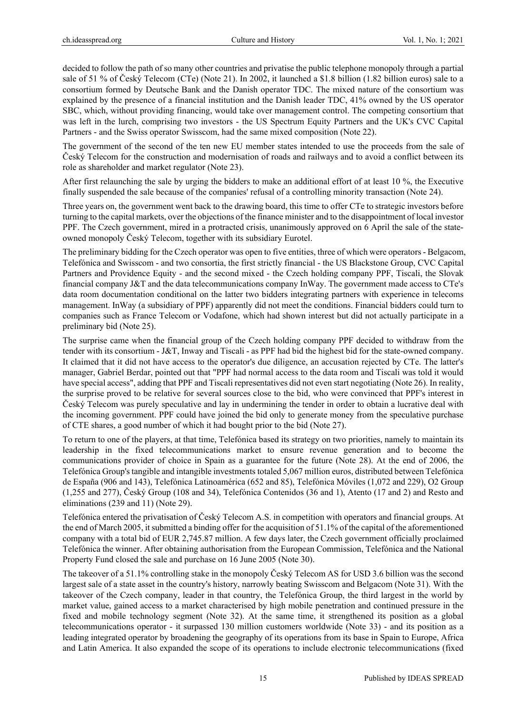decided to follow the path of so many other countries and privatise the public telephone monopoly through a partial sale of 51 % of Český Telecom (CTe) (Note 21). In 2002, it launched a \$1.8 billion (1.82 billion euros) sale to a consortium formed by Deutsche Bank and the Danish operator TDC. The mixed nature of the consortium was explained by the presence of a financial institution and the Danish leader TDC, 41% owned by the US operator SBC, which, without providing financing, would take over management control. The competing consortium that was left in the lurch, comprising two investors - the US Spectrum Equity Partners and the UK's CVC Capital Partners - and the Swiss operator Swisscom, had the same mixed composition (Note 22).

The government of the second of the ten new EU member states intended to use the proceeds from the sale of Český Telecom for the construction and modernisation of roads and railways and to avoid a conflict between its role as shareholder and market regulator (Note 23).

After first relaunching the sale by urging the bidders to make an additional effort of at least 10 %, the Executive finally suspended the sale because of the companies' refusal of a controlling minority transaction (Note 24).

Three years on, the government went back to the drawing board, this time to offer CTe to strategic investors before turning to the capital markets, over the objections of the finance minister and to the disappointment of local investor PPF. The Czech government, mired in a protracted crisis, unanimously approved on 6 April the sale of the stateowned monopoly Český Telecom, together with its subsidiary Eurotel.

The preliminary bidding for the Czech operator was open to five entities, three of which were operators - Belgacom, Telefónica and Swisscom - and two consortia, the first strictly financial - the US Blackstone Group, CVC Capital Partners and Providence Equity - and the second mixed - the Czech holding company PPF, Tiscali, the Slovak financial company J&T and the data telecommunications company InWay. The government made access to CTe's data room documentation conditional on the latter two bidders integrating partners with experience in telecoms management. InWay (a subsidiary of PPF) apparently did not meet the conditions. Financial bidders could turn to companies such as France Telecom or Vodafone, which had shown interest but did not actually participate in a preliminary bid (Note 25).

The surprise came when the financial group of the Czech holding company PPF decided to withdraw from the tender with its consortium - J&T, Inway and Tiscali - as PPF had bid the highest bid for the state-owned company. It claimed that it did not have access to the operator's due diligence, an accusation rejected by CTe. The latter's manager, Gabriel Berdar, pointed out that "PPF had normal access to the data room and Tiscali was told it would have special access", adding that PPF and Tiscali representatives did not even start negotiating (Note 26). In reality, the surprise proved to be relative for several sources close to the bid, who were convinced that PPF's interest in Český Telecom was purely speculative and lay in undermining the tender in order to obtain a lucrative deal with the incoming government. PPF could have joined the bid only to generate money from the speculative purchase of CTE shares, a good number of which it had bought prior to the bid (Note 27).

To return to one of the players, at that time, Telefónica based its strategy on two priorities, namely to maintain its leadership in the fixed telecommunications market to ensure revenue generation and to become the communications provider of choice in Spain as a guarantee for the future (Note 28). At the end of 2006, the Telefónica Group's tangible and intangible investments totaled 5,067 million euros, distributed between Telefónica de España (906 and 143), Telefónica Latinoamérica (652 and 85), Telefónica Móviles (1,072 and 229), O2 Group (1,255 and 277), Český Group (108 and 34), Telefónica Contenidos (36 and 1), Atento (17 and 2) and Resto and eliminations (239 and 11) (Note 29).

Telefónica entered the privatisation of Český Telecom A.S. in competition with operators and financial groups. At the end of March 2005, it submitted a binding offer for the acquisition of 51.1% of the capital of the aforementioned company with a total bid of EUR 2,745.87 million. A few days later, the Czech government officially proclaimed Telefónica the winner. After obtaining authorisation from the European Commission, Telefónica and the National Property Fund closed the sale and purchase on 16 June 2005 (Note 30).

The takeover of a 51.1% controlling stake in the monopoly Český Telecom AS for USD 3.6 billion was the second largest sale of a state asset in the country's history, narrowly beating Swisscom and Belgacom (Note 31). With the takeover of the Czech company, leader in that country, the Telefónica Group, the third largest in the world by market value, gained access to a market characterised by high mobile penetration and continued pressure in the fixed and mobile technology segment (Note 32). At the same time, it strengthened its position as a global telecommunications operator - it surpassed 130 million customers worldwide (Note 33) - and its position as a leading integrated operator by broadening the geography of its operations from its base in Spain to Europe, Africa and Latin America. It also expanded the scope of its operations to include electronic telecommunications (fixed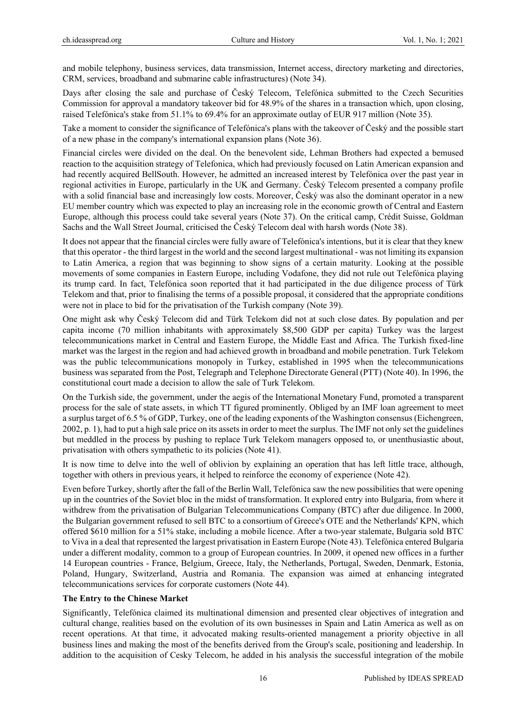and mobile telephony, business services, data transmission, Internet access, directory marketing and directories, CRM, services, broadband and submarine cable infrastructures) (Note 34).

Days after closing the sale and purchase of Český Telecom, Telefónica submitted to the Czech Securities Commission for approval a mandatory takeover bid for 48.9% of the shares in a transaction which, upon closing, raised Telefónica's stake from 51.1% to 69.4% for an approximate outlay of EUR 917 million (Note 35).

Take a moment to consider the significance of Telefónica's plans with the takeover of Český and the possible start of a new phase in the company's international expansion plans (Note 36).

Financial circles were divided on the deal. On the benevolent side, Lehman Brothers had expected a bemused reaction to the acquisition strategy of Telefonica, which had previously focused on Latin American expansion and had recently acquired BellSouth. However, he admitted an increased interest by Telefónica over the past year in regional activities in Europe, particularly in the UK and Germany. Český Telecom presented a company profile with a solid financial base and increasingly low costs. Moreover, Český was also the dominant operator in a new EU member country which was expected to play an increasing role in the economic growth of Central and Eastern Europe, although this process could take several years (Note 37). On the critical camp, Crédit Suisse, Goldman Sachs and the Wall Street Journal, criticised the Český Telecom deal with harsh words (Note 38).

It does not appear that the financial circles were fully aware of Telefónica's intentions, but it is clear that they knew that this operator - the third largest in the world and the second largest multinational - was not limiting its expansion to Latin America, a region that was beginning to show signs of a certain maturity. Looking at the possible movements of some companies in Eastern Europe, including Vodafone, they did not rule out Telefónica playing its trump card. In fact, Telefónica soon reported that it had participated in the due diligence process of Türk Telekom and that, prior to finalising the terms of a possible proposal, it considered that the appropriate conditions were not in place to bid for the privatisation of the Turkish company (Note 39).

One might ask why Český Telecom did and Türk Telekom did not at such close dates. By population and per capita income (70 million inhabitants with approximately \$8,500 GDP per capita) Turkey was the largest telecommunications market in Central and Eastern Europe, the Middle East and Africa. The Turkish fixed-line market was the largest in the region and had achieved growth in broadband and mobile penetration. Turk Telekom was the public telecommunications monopoly in Turkey, established in 1995 when the telecommunications business was separated from the Post, Telegraph and Telephone Directorate General (PTT) (Note 40). In 1996, the constitutional court made a decision to allow the sale of Turk Telekom.

On the Turkish side, the government, under the aegis of the International Monetary Fund, promoted a transparent process for the sale of state assets, in which TT figured prominently. Obliged by an IMF loan agreement to meet a surplus target of 6.5 % of GDP, Turkey, one of the leading exponents of the Washington consensus (Eichengreen, 2002, p. 1), had to put a high sale price on its assets in order to meet the surplus. The IMF not only set the guidelines but meddled in the process by pushing to replace Turk Telekom managers opposed to, or unenthusiastic about, privatisation with others sympathetic to its policies (Note 41).

It is now time to delve into the well of oblivion by explaining an operation that has left little trace, although, together with others in previous years, it helped to reinforce the economy of experience (Note 42).

Even before Turkey, shortly after the fall of the Berlin Wall, Telefónica saw the new possibilities that were opening up in the countries of the Soviet bloc in the midst of transformation. It explored entry into Bulgaria, from where it withdrew from the privatisation of Bulgarian Telecommunications Company (BTC) after due diligence. In 2000, the Bulgarian government refused to sell BTC to a consortium of Greece's OTE and the Netherlands' KPN, which offered \$610 million for a 51% stake, including a mobile licence. After a two-year stalemate, Bulgaria sold BTC to Viva in a deal that represented the largest privatisation in Eastern Europe (Note 43). Telefónica entered Bulgaria under a different modality, common to a group of European countries. In 2009, it opened new offices in a further 14 European countries - France, Belgium, Greece, Italy, the Netherlands, Portugal, Sweden, Denmark, Estonia, Poland, Hungary, Switzerland, Austria and Romania. The expansion was aimed at enhancing integrated telecommunications services for corporate customers (Note 44).

## **The Entry to the Chinese Market**

Significantly, Telefónica claimed its multinational dimension and presented clear objectives of integration and cultural change, realities based on the evolution of its own businesses in Spain and Latin America as well as on recent operations. At that time, it advocated making results-oriented management a priority objective in all business lines and making the most of the benefits derived from the Group's scale, positioning and leadership. In addition to the acquisition of Cesky Telecom, he added in his analysis the successful integration of the mobile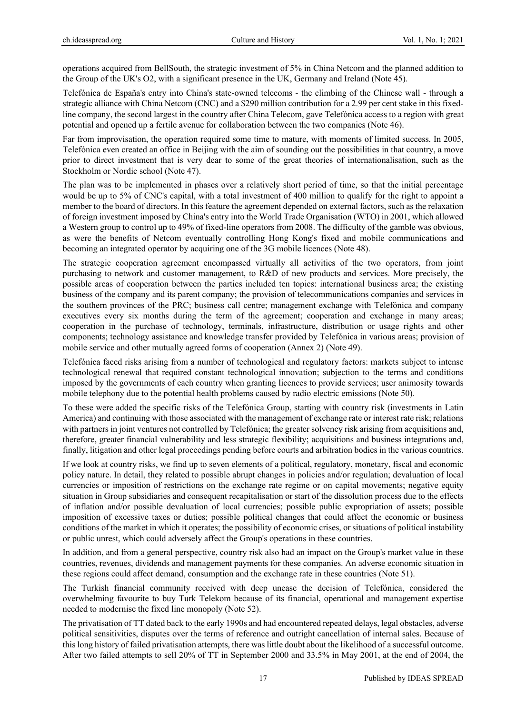operations acquired from BellSouth, the strategic investment of 5% in China Netcom and the planned addition to the Group of the UK's O2, with a significant presence in the UK, Germany and Ireland (Note 45).

Telefónica de España's entry into China's state-owned telecoms - the climbing of the Chinese wall - through a strategic alliance with China Netcom (CNC) and a \$290 million contribution for a 2.99 per cent stake in this fixedline company, the second largest in the country after China Telecom, gave Telefónica access to a region with great potential and opened up a fertile avenue for collaboration between the two companies (Note 46).

Far from improvisation, the operation required some time to mature, with moments of limited success. In 2005, Telefónica even created an office in Beijing with the aim of sounding out the possibilities in that country, a move prior to direct investment that is very dear to some of the great theories of internationalisation, such as the Stockholm or Nordic school (Note 47).

The plan was to be implemented in phases over a relatively short period of time, so that the initial percentage would be up to 5% of CNC's capital, with a total investment of 400 million to qualify for the right to appoint a member to the board of directors. In this feature the agreement depended on external factors, such as the relaxation of foreign investment imposed by China's entry into the World Trade Organisation (WTO) in 2001, which allowed a Western group to control up to 49% of fixed-line operators from 2008. The difficulty of the gamble was obvious, as were the benefits of Netcom eventually controlling Hong Kong's fixed and mobile communications and becoming an integrated operator by acquiring one of the 3G mobile licences (Note 48).

The strategic cooperation agreement encompassed virtually all activities of the two operators, from joint purchasing to network and customer management, to R&D of new products and services. More precisely, the possible areas of cooperation between the parties included ten topics: international business area; the existing business of the company and its parent company; the provision of telecommunications companies and services in the southern provinces of the PRC; business call centre; management exchange with Telefónica and company executives every six months during the term of the agreement; cooperation and exchange in many areas; cooperation in the purchase of technology, terminals, infrastructure, distribution or usage rights and other components; technology assistance and knowledge transfer provided by Telefónica in various areas; provision of mobile service and other mutually agreed forms of cooperation (Annex 2) (Note 49).

Telefónica faced risks arising from a number of technological and regulatory factors: markets subject to intense technological renewal that required constant technological innovation; subjection to the terms and conditions imposed by the governments of each country when granting licences to provide services; user animosity towards mobile telephony due to the potential health problems caused by radio electric emissions (Note 50).

To these were added the specific risks of the Telefónica Group, starting with country risk (investments in Latin America) and continuing with those associated with the management of exchange rate or interest rate risk; relations with partners in joint ventures not controlled by Telefónica; the greater solvency risk arising from acquisitions and, therefore, greater financial vulnerability and less strategic flexibility; acquisitions and business integrations and, finally, litigation and other legal proceedings pending before courts and arbitration bodies in the various countries.

If we look at country risks, we find up to seven elements of a political, regulatory, monetary, fiscal and economic policy nature. In detail, they related to possible abrupt changes in policies and/or regulation; devaluation of local currencies or imposition of restrictions on the exchange rate regime or on capital movements; negative equity situation in Group subsidiaries and consequent recapitalisation or start of the dissolution process due to the effects of inflation and/or possible devaluation of local currencies; possible public expropriation of assets; possible imposition of excessive taxes or duties; possible political changes that could affect the economic or business conditions of the market in which it operates; the possibility of economic crises, or situations of political instability or public unrest, which could adversely affect the Group's operations in these countries.

In addition, and from a general perspective, country risk also had an impact on the Group's market value in these countries, revenues, dividends and management payments for these companies. An adverse economic situation in these regions could affect demand, consumption and the exchange rate in these countries (Note 51).

The Turkish financial community received with deep unease the decision of Telefónica, considered the overwhelming favourite to buy Turk Telekom because of its financial, operational and management expertise needed to modernise the fixed line monopoly (Note 52).

The privatisation of TT dated back to the early 1990s and had encountered repeated delays, legal obstacles, adverse political sensitivities, disputes over the terms of reference and outright cancellation of internal sales. Because of this long history of failed privatisation attempts, there was little doubt about the likelihood of a successful outcome. After two failed attempts to sell 20% of TT in September 2000 and 33.5% in May 2001, at the end of 2004, the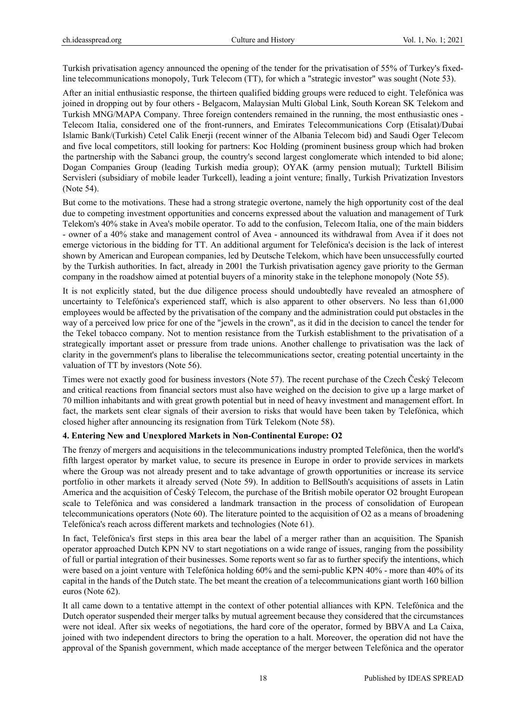Turkish privatisation agency announced the opening of the tender for the privatisation of 55% of Turkey's fixedline telecommunications monopoly, Turk Telecom (TT), for which a "strategic investor" was sought (Note 53).

After an initial enthusiastic response, the thirteen qualified bidding groups were reduced to eight. Telefónica was joined in dropping out by four others - Belgacom, Malaysian Multi Global Link, South Korean SK Telekom and Turkish MNG/MAPA Company. Three foreign contenders remained in the running, the most enthusiastic ones - Telecom Italia, considered one of the front-runners, and Emirates Telecommunications Corp (Etisalat)/Dubai Islamic Bank/(Turkish) Cetel Calik Enerji (recent winner of the Albania Telecom bid) and Saudi Oger Telecom and five local competitors, still looking for partners: Koc Holding (prominent business group which had broken the partnership with the Sabanci group, the country's second largest conglomerate which intended to bid alone; Dogan Companies Group (leading Turkish media group); OYAK (army pension mutual); Turktell Bilisim Servisleri (subsidiary of mobile leader Turkcell), leading a joint venture; finally, Turkish Privatization Investors (Note 54).

But come to the motivations. These had a strong strategic overtone, namely the high opportunity cost of the deal due to competing investment opportunities and concerns expressed about the valuation and management of Turk Telekom's 40% stake in Avea's mobile operator. To add to the confusion, Telecom Italia, one of the main bidders - owner of a 40% stake and management control of Avea - announced its withdrawal from Avea if it does not emerge victorious in the bidding for TT. An additional argument for Telefónica's decision is the lack of interest shown by American and European companies, led by Deutsche Telekom, which have been unsuccessfully courted by the Turkish authorities. In fact, already in 2001 the Turkish privatisation agency gave priority to the German company in the roadshow aimed at potential buyers of a minority stake in the telephone monopoly (Note 55).

It is not explicitly stated, but the due diligence process should undoubtedly have revealed an atmosphere of uncertainty to Telefónica's experienced staff, which is also apparent to other observers. No less than 61,000 employees would be affected by the privatisation of the company and the administration could put obstacles in the way of a perceived low price for one of the "jewels in the crown", as it did in the decision to cancel the tender for the Tekel tobacco company. Not to mention resistance from the Turkish establishment to the privatisation of a strategically important asset or pressure from trade unions. Another challenge to privatisation was the lack of clarity in the government's plans to liberalise the telecommunications sector, creating potential uncertainty in the valuation of TT by investors (Note 56).

Times were not exactly good for business investors (Note 57). The recent purchase of the Czech Český Telecom and critical reactions from financial sectors must also have weighed on the decision to give up a large market of 70 million inhabitants and with great growth potential but in need of heavy investment and management effort. In fact, the markets sent clear signals of their aversion to risks that would have been taken by Telefónica, which closed higher after announcing its resignation from Türk Telekom (Note 58).

# **4. Entering New and Unexplored Markets in Non-Continental Europe: O2**

The frenzy of mergers and acquisitions in the telecommunications industry prompted Telefónica, then the world's fifth largest operator by market value, to secure its presence in Europe in order to provide services in markets where the Group was not already present and to take advantage of growth opportunities or increase its service portfolio in other markets it already served (Note 59). In addition to BellSouth's acquisitions of assets in Latin America and the acquisition of Český Telecom, the purchase of the British mobile operator O2 brought European scale to Telefónica and was considered a landmark transaction in the process of consolidation of European telecommunications operators (Note 60). The literature pointed to the acquisition of O2 as a means of broadening Telefónica's reach across different markets and technologies (Note 61).

In fact, Telefónica's first steps in this area bear the label of a merger rather than an acquisition. The Spanish operator approached Dutch KPN NV to start negotiations on a wide range of issues, ranging from the possibility of full or partial integration of their businesses. Some reports went so far as to further specify the intentions, which were based on a joint venture with Telefónica holding 60% and the semi-public KPN 40% - more than 40% of its capital in the hands of the Dutch state. The bet meant the creation of a telecommunications giant worth 160 billion euros (Note 62).

It all came down to a tentative attempt in the context of other potential alliances with KPN. Telefónica and the Dutch operator suspended their merger talks by mutual agreement because they considered that the circumstances were not ideal. After six weeks of negotiations, the hard core of the operator, formed by BBVA and La Caixa, joined with two independent directors to bring the operation to a halt. Moreover, the operation did not have the approval of the Spanish government, which made acceptance of the merger between Telefónica and the operator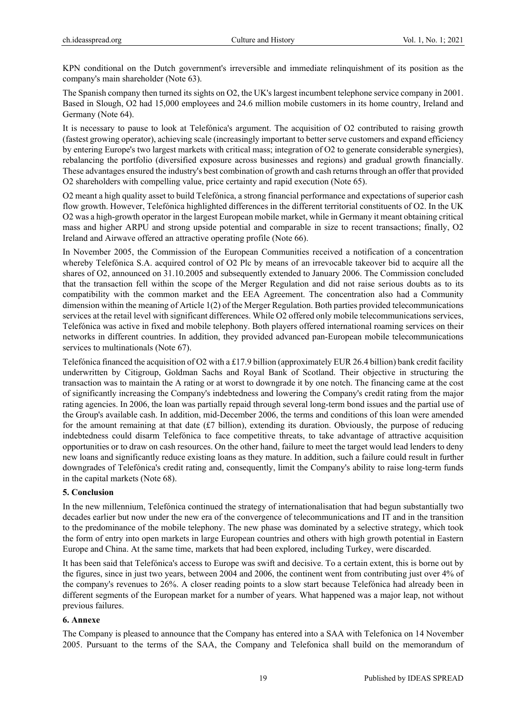KPN conditional on the Dutch government's irreversible and immediate relinquishment of its position as the company's main shareholder (Note 63).

The Spanish company then turned its sights on O2, the UK's largest incumbent telephone service company in 2001. Based in Slough, O2 had 15,000 employees and 24.6 million mobile customers in its home country, Ireland and Germany (Note 64).

It is necessary to pause to look at Telefónica's argument. The acquisition of O2 contributed to raising growth (fastest growing operator), achieving scale (increasingly important to better serve customers and expand efficiency by entering Europe's two largest markets with critical mass; integration of O2 to generate considerable synergies), rebalancing the portfolio (diversified exposure across businesses and regions) and gradual growth financially. These advantages ensured the industry's best combination of growth and cash returns through an offer that provided O2 shareholders with compelling value, price certainty and rapid execution (Note 65).

O2 meant a high quality asset to build Telefónica, a strong financial performance and expectations of superior cash flow growth. However, Telefónica highlighted differences in the different territorial constituents of O2. In the UK O2 was a high-growth operator in the largest European mobile market, while in Germany it meant obtaining critical mass and higher ARPU and strong upside potential and comparable in size to recent transactions; finally, O2 Ireland and Airwave offered an attractive operating profile (Note 66).

In November 2005, the Commission of the European Communities received a notification of a concentration whereby Telefónica S.A. acquired control of O2 Plc by means of an irrevocable takeover bid to acquire all the shares of O2, announced on 31.10.2005 and subsequently extended to January 2006. The Commission concluded that the transaction fell within the scope of the Merger Regulation and did not raise serious doubts as to its compatibility with the common market and the EEA Agreement. The concentration also had a Community dimension within the meaning of Article 1(2) of the Merger Regulation. Both parties provided telecommunications services at the retail level with significant differences. While O2 offered only mobile telecommunications services, Telefónica was active in fixed and mobile telephony. Both players offered international roaming services on their networks in different countries. In addition, they provided advanced pan-European mobile telecommunications services to multinationals (Note 67).

Telefónica financed the acquisition of O2 with a £17.9 billion (approximately EUR 26.4 billion) bank credit facility underwritten by Citigroup, Goldman Sachs and Royal Bank of Scotland. Their objective in structuring the transaction was to maintain the A rating or at worst to downgrade it by one notch. The financing came at the cost of significantly increasing the Company's indebtedness and lowering the Company's credit rating from the major rating agencies. In 2006, the loan was partially repaid through several long-term bond issues and the partial use of the Group's available cash. In addition, mid-December 2006, the terms and conditions of this loan were amended for the amount remaining at that date (£7 billion), extending its duration. Obviously, the purpose of reducing indebtedness could disarm Telefónica to face competitive threats, to take advantage of attractive acquisition opportunities or to draw on cash resources. On the other hand, failure to meet the target would lead lenders to deny new loans and significantly reduce existing loans as they mature. In addition, such a failure could result in further downgrades of Telefónica's credit rating and, consequently, limit the Company's ability to raise long-term funds in the capital markets (Note 68).

# **5. Conclusion**

In the new millennium, Telefónica continued the strategy of internationalisation that had begun substantially two decades earlier but now under the new era of the convergence of telecommunications and IT and in the transition to the predominance of the mobile telephony. The new phase was dominated by a selective strategy, which took the form of entry into open markets in large European countries and others with high growth potential in Eastern Europe and China. At the same time, markets that had been explored, including Turkey, were discarded.

It has been said that Telefónica's access to Europe was swift and decisive. To a certain extent, this is borne out by the figures, since in just two years, between 2004 and 2006, the continent went from contributing just over 4% of the company's revenues to 26%. A closer reading points to a slow start because Telefónica had already been in different segments of the European market for a number of years. What happened was a major leap, not without previous failures.

# **6. Annexe**

The Company is pleased to announce that the Company has entered into a SAA with Telefonica on 14 November 2005. Pursuant to the terms of the SAA, the Company and Telefonica shall build on the memorandum of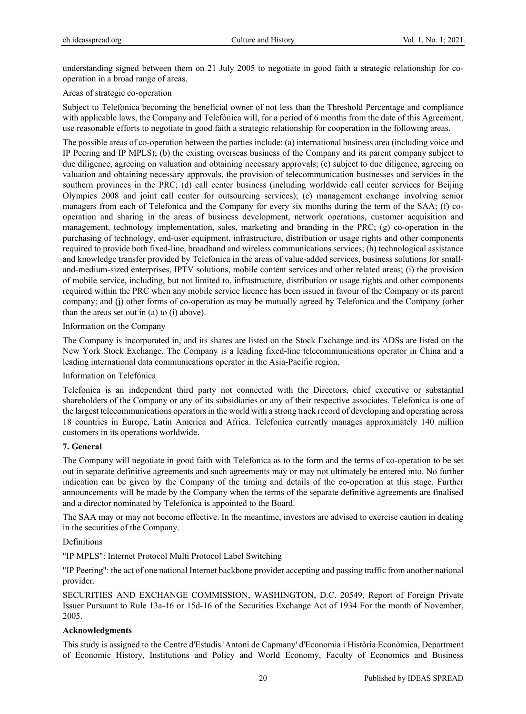understanding signed between them on 21 July 2005 to negotiate in good faith a strategic relationship for cooperation in a broad range of areas.

## Areas of strategic co-operation

Subject to Telefonica becoming the beneficial owner of not less than the Threshold Percentage and compliance with applicable laws, the Company and Telefónica will, for a period of 6 months from the date of this Agreement, use reasonable efforts to negotiate in good faith a strategic relationship for cooperation in the following areas.

The possible areas of co-operation between the parties include: (a) international business area (including voice and IP Peering and IP MPLS); (b) the existing overseas business of the Company and its parent company subject to due diligence, agreeing on valuation and obtaining necessary approvals; (c) subject to due diligence, agreeing on valuation and obtaining necessary approvals, the provision of telecommunication businesses and services in the southern provinces in the PRC; (d) call center business (including worldwide call center services for Beijing Olympics 2008 and joint call center for outsourcing services); (e) management exchange involving senior managers from each of Telefonica and the Company for every six months during the term of the SAA; (f) cooperation and sharing in the areas of business development, network operations, customer acquisition and management, technology implementation, sales, marketing and branding in the PRC; (g) co-operation in the purchasing of technology, end-user equipment, infrastructure, distribution or usage rights and other components required to provide both fixed-line, broadband and wireless communications services; (h) technological assistance and knowledge transfer provided by Telefonica in the areas of value-added services, business solutions for smalland-medium-sized enterprises, IPTV solutions, mobile content services and other related areas; (i) the provision of mobile service, including, but not limited to, infrastructure, distribution or usage rights and other components required within the PRC when any mobile service licence has been issued in favour of the Company or its parent company; and (j) other forms of co-operation as may be mutually agreed by Telefonica and the Company (other than the areas set out in (a) to (i) above).

#### Information on the Company

The Company is incorporated in, and its shares are listed on the Stock Exchange and its ADSs are listed on the New York Stock Exchange. The Company is a leading fixed-line telecommunications operator in China and a leading international data communications operator in the Asia-Pacific region.

## Information on Telefónica

Telefonica is an independent third party not connected with the Directors, chief executive or substantial shareholders of the Company or any of its subsidiaries or any of their respective associates. Telefonica is one of the largest telecommunications operators in the world with a strong track record of developing and operating across 18 countries in Europe, Latin America and Africa. Telefonica currently manages approximately 140 million customers in its operations worldwide.

## **7. General**

The Company will negotiate in good faith with Telefonica as to the form and the terms of co-operation to be set out in separate definitive agreements and such agreements may or may not ultimately be entered into. No further indication can be given by the Company of the timing and details of the co-operation at this stage. Further announcements will be made by the Company when the terms of the separate definitive agreements are finalised and a director nominated by Telefonica is appointed to the Board.

The SAA may or may not become effective. In the meantime, investors are advised to exercise caution in dealing in the securities of the Company.

## Definitions

"IP MPLS": Internet Protocol Multi Protocol Label Switching

"IP Peering": the act of one national Internet backbone provider accepting and passing traffic from another national provider.

SECURITIES AND EXCHANGE COMMISSION, WASHINGTON, D.C. 20549, Report of Foreign Private Issuer Pursuant to Rule 13a-16 or 15d-16 of the Securities Exchange Act of 1934 For the month of November, 2005.

## **Acknowledgments**

This study is assigned to the Centre d'Estudis 'Antoni de Capmany' d'Economia i Història Econòmica, Department of Economic History, Institutions and Policy and World Economy, Faculty of Economics and Business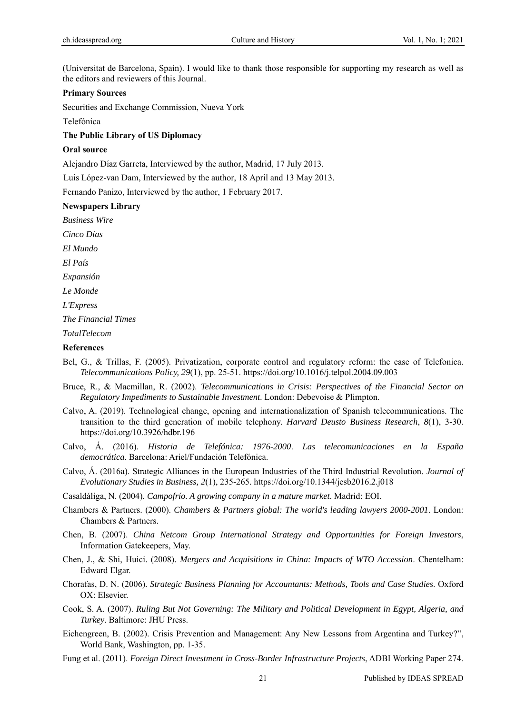(Universitat de Barcelona, Spain). I would like to thank those responsible for supporting my research as well as the editors and reviewers of this Journal.

#### **Primary Sources**

Securities and Exchange Commission, Nueva York

Telefónica

#### **The Public Library of US Diplomacy**

#### **Oral source**

Alejandro Díaz Garreta, Interviewed by the author, Madrid, 17 July 2013.

Luis López-van Dam, Interviewed by the author, 18 April and 13 May 2013.

Fernando Panizo, Interviewed by the author, 1 February 2017.

#### **Newspapers Library**

*Business Wire* 

*Cinco Días* 

*El Mundo*

*El País* 

*Expansión*

*Le Monde*

*L'Express* 

*The Financial Times* 

*TotalTelecom* 

## **References**

- Bel, G., & Trillas, F. (2005). Privatization, corporate control and regulatory reform: the case of Telefonica. *Telecommunications Policy, 29*(1), pp. 25-51. https://doi.org/10.1016/j.telpol.2004.09.003
- Bruce, R., & Macmillan, R. (2002). *Telecommunications in Crisis: Perspectives of the Financial Sector on Regulatory Impediments to Sustainable Investment*. London: Debevoise & Plimpton.
- Calvo, A. (2019). Technological change, opening and internationalization of Spanish telecommunications. The transition to the third generation of mobile telephony. *Harvard Deusto Business Research*, *8*(1), 3-30. https://doi.org/10.3926/hdbr.196
- Calvo, Á. (2016). *Historia de Telefónica: 1976-2000*. *Las telecomunicaciones en la España democrática*. Barcelona: Ariel/Fundación Telefónica.
- Calvo, Á. (2016a). Strategic Alliances in the European Industries of the Third Industrial Revolution. *Journal of Evolutionary Studies in Business, 2*(1), 235-265. https://doi.org/10.1344/jesb2016.2.j018

Casaldáliga, N. (2004). *Campofrío. A growing company in a mature market*. Madrid: EOI.

- Chambers & Partners. (2000). *Chambers & Partners global: The world's leading lawyers 2000-2001*. London: Chambers & Partners.
- Chen, B. (2007). *China Netcom Group International Strategy and Opportunities for Foreign Investors*, Information Gatekeepers, May.
- Chen, J., & Shi, Huici. (2008). *Mergers and Acquisitions in China: Impacts of WTO Accession*. Chentelham: Edward Elgar.
- Chorafas, D. N. (2006). *Strategic Business Planning for Accountants: Methods, Tools and Case Studies*. Oxford OX: Elsevier.
- Cook, S. A. (2007). *Ruling But Not Governing: The Military and Political Development in Egypt, Algeria, and Turkey*. Baltimore: JHU Press.
- Eichengreen, B. (2002). Crisis Prevention and Management: Any New Lessons from Argentina and Turkey?", World Bank, Washington, pp. 1-35.
- Fung et al. (2011). *Foreign Direct Investment in Cross-Border Infrastructure Projects*, ADBI Working Paper 274.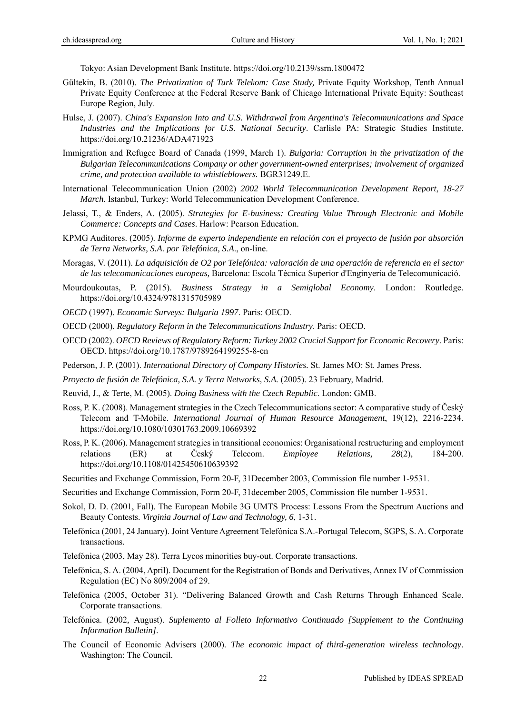Tokyo: Asian Development Bank Institute. https://doi.org/10.2139/ssrn.1800472

- Gültekin, B. (2010). *The Privatization of Turk Telekom: Case Study,* Private Equity Workshop, Tenth Annual Private Equity Conference at the Federal Reserve Bank of Chicago International Private Equity: Southeast Europe Region, July.
- Hulse, J. (2007). *China's Expansion Into and U.S. Withdrawal from Argentina's Telecommunications and Space Industries and the Implications for U.S. National Security*. Carlisle PA: Strategic Studies Institute. https://doi.org/10.21236/ADA471923
- Immigration and Refugee Board of Canada (1999, March 1). *Bulgaria: Corruption in the privatization of the Bulgarian Telecommunications Company or other government-owned enterprises; involvement of organized crime, and protection available to whistleblowers.* BGR31249.E.
- International Telecommunication Union (2002) *2002 World Telecommunication Development Report*, *18-27 March*. Istanbul, Turkey: World Telecommunication Development Conference.
- Jelassi, T., & Enders, A. (2005). *Strategies for E-business: Creating Value Through Electronic and Mobile Commerce: Concepts and Cases*. Harlow: Pearson Education.
- KPMG Auditores. (2005). *Informe de experto independiente en relación con el proyecto de fusión por absorción de Terra Networks, S.A. por Telefónica, S.A*., on-line.
- Moragas, V. (2011). *La adquisición de O2 por Telefónica: valoración de una operación de referencia en el sector de las telecomunicaciones europeas,* Barcelona: Escola Tècnica Superior d'Enginyeria de Telecomunicació.
- Mourdoukoutas, P. (2015). *Business Strategy in a Semiglobal Economy*. London: Routledge. https://doi.org/10.4324/9781315705989
- *OECD* (1997). *Economic Surveys: Bulgaria 1997*. Paris: OECD.
- OECD (2000). *Regulatory Reform in the Telecommunications Industry*. Paris: OECD.
- OECD (2002). *OECD Reviews of Regulatory Reform: Turkey 2002 Crucial Support for Economic Recovery*. Paris: OECD. https://doi.org/10.1787/9789264199255-8-en
- Pederson, J. P. (2001). *International Directory of Company Histories.* St. James MO: St. James Press.
- *Proyecto de fusión de Telefónica, S.A. y Terra Networks, S.A.* (2005). 23 February, Madrid.
- Reuvid, J., & Terte, M. (2005). *Doing Business with the Czech Republic*. London: GMB.
- Ross, P. K. (2008). Management strategies in the Czech Telecommunications sector: A comparative study of Český Telecom and T-Mobile. *International Journal of Human Resource Management*, 19(12), 2216-2234. https://doi.org/10.1080/10301763.2009.10669392
- Ross, P. K. (2006). Management strategies in transitional economies: Organisational restructuring and employment relations (ER) at Český Telecom. *Employee Relations, 28*(2), 184-200. https://doi.org/10.1108/01425450610639392
- Securities and Exchange Commission, Form 20-F, 31December 2003, Commission file number 1-9531.
- Securities and Exchange Commission, Form 20-F, 31december 2005, Commission file number 1-9531.
- Sokol, D. D. (2001, Fall). The European Mobile 3G UMTS Process: Lessons From the Spectrum Auctions and Beauty Contests. *Virginia Journal of Law and Technology, 6*, 1-31.
- Telefónica (2001, 24 January). Joint Venture Agreement Telefónica S.A.-Portugal Telecom, SGPS, S. A. Corporate transactions.
- Telefónica (2003, May 28). Terra Lycos minorities buy-out. Corporate transactions.
- Telefónica, S. A. (2004, April). Document for the Registration of Bonds and Derivatives, Annex IV of Commission Regulation (EC) No 809/2004 of 29.
- Telefónica (2005, October 31). "Delivering Balanced Growth and Cash Returns Through Enhanced Scale. Corporate transactions.
- Telefónica. (2002*,* August). *Suplemento al Folleto Informativo Continuado [Supplement to the Continuing Information Bulletin]*.
- The Council of Economic Advisers (2000). *The economic impact of third-generation wireless technology*. Washington: The Council.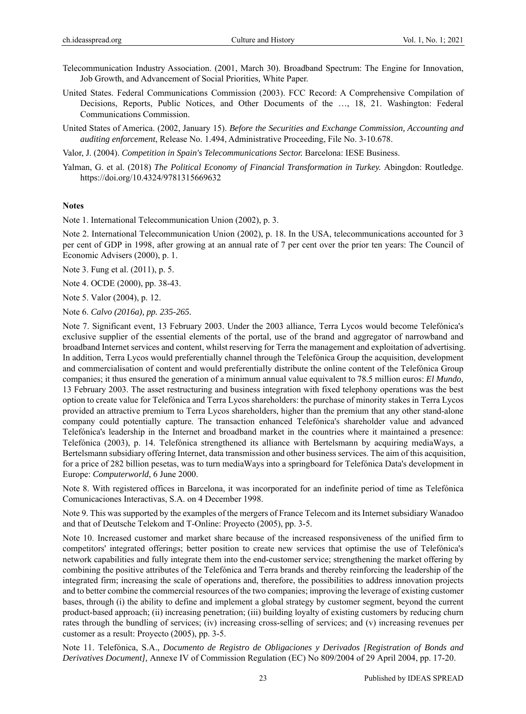- Telecommunication Industry Association. (2001, March 30). Broadband Spectrum: The Engine for Innovation, Job Growth, and Advancement of Social Priorities*,* White Paper.
- United States. Federal Communications Commission (2003). FCC Record: A Comprehensive Compilation of Decisions, Reports, Public Notices, and Other Documents of the …, 18, 21. Washington: Federal Communications Commission.
- United States of America. (2002, January 15). *Before the Securities and Exchange Commission, Accounting and auditing enforcement*, Release No. 1.494, Administrative Proceeding, File No. 3-10.678.

Valor, J. (2004). *Competition in Spain's Telecommunications Sector.* Barcelona: IESE Business.

Yalman, G. et al. (2018) *The Political Economy of Financial Transformation in Turkey.* Abingdon: Routledge. https://doi.org/10.4324/9781315669632

# **Notes**

Note 1. International Telecommunication Union (2002), p. 3.

Note 2. International Telecommunication Union (2002), p. 18. In the USA, telecommunications accounted for 3 per cent of GDP in 1998, after growing at an annual rate of 7 per cent over the prior ten years: The Council of Economic Advisers (2000), p. 1.

Note 3. Fung et al. (2011), p. 5.

Note 4. OCDE (2000), pp. 38-43.

Note 5. Valor (2004), p. 12.

Note 6. *Calvo (2016a), pp. 235-265.*

Note 7. Significant event, 13 February 2003. Under the 2003 alliance, Terra Lycos would become Telefónica's exclusive supplier of the essential elements of the portal, use of the brand and aggregator of narrowband and broadband Internet services and content, whilst reserving for Terra the management and exploitation of advertising. In addition, Terra Lycos would preferentially channel through the Telefónica Group the acquisition, development and commercialisation of content and would preferentially distribute the online content of the Telefónica Group companies; it thus ensured the generation of a minimum annual value equivalent to 78.5 million euros: *El Mundo*, 13 February 2003. The asset restructuring and business integration with fixed telephony operations was the best option to create value for Telefónica and Terra Lycos shareholders: the purchase of minority stakes in Terra Lycos provided an attractive premium to Terra Lycos shareholders, higher than the premium that any other stand-alone company could potentially capture. The transaction enhanced Telefónica's shareholder value and advanced Telefónica's leadership in the Internet and broadband market in the countries where it maintained a presence: Telefónica (2003), p. 14. Telefónica strengthened its alliance with Bertelsmann by acquiring mediaWays, a Bertelsmann subsidiary offering Internet, data transmission and other business services. The aim of this acquisition, for a price of 282 billion pesetas, was to turn mediaWays into a springboard for Telefónica Data's development in Europe: *Computerworld*, 6 June 2000.

Note 8. With registered offices in Barcelona, it was incorporated for an indefinite period of time as Telefónica Comunicaciones Interactivas, S.A. on 4 December 1998.

Note 9. This was supported by the examples of the mergers of France Telecom and its Internet subsidiary Wanadoo and that of Deutsche Telekom and T-Online: Proyecto (2005), pp. 3-5.

Note 10. Increased customer and market share because of the increased responsiveness of the unified firm to competitors' integrated offerings; better position to create new services that optimise the use of Telefónica's network capabilities and fully integrate them into the end-customer service; strengthening the market offering by combining the positive attributes of the Telefónica and Terra brands and thereby reinforcing the leadership of the integrated firm; increasing the scale of operations and, therefore, the possibilities to address innovation projects and to better combine the commercial resources of the two companies; improving the leverage of existing customer bases, through (i) the ability to define and implement a global strategy by customer segment, beyond the current product-based approach; (ii) increasing penetration; (iii) building loyalty of existing customers by reducing churn rates through the bundling of services; (iv) increasing cross-selling of services; and (v) increasing revenues per customer as a result: Proyecto (2005), pp. 3-5.

Note 11. Telefónica, S.A., *Documento de Registro de Obligaciones y Derivados [Registration of Bonds and Derivatives Document],* Annexe IV of Commission Regulation (EC) No 809/2004 of 29 April 2004, pp. 17-20.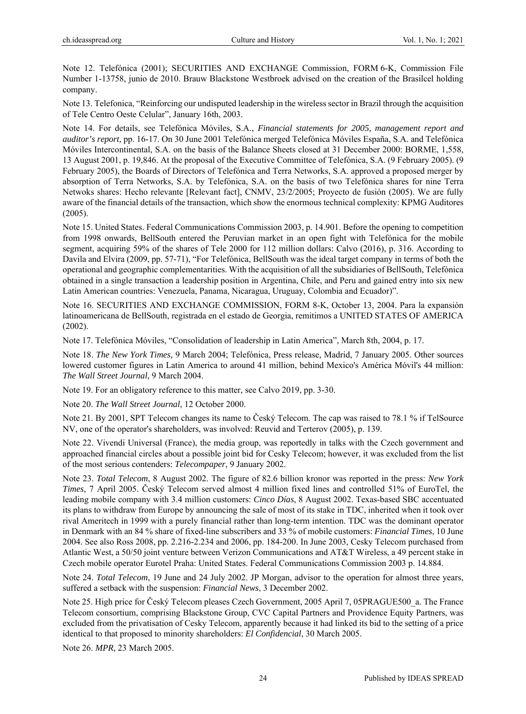Note 12. Telefónica (2001); SECURITIES AND EXCHANGE Commission, FORM 6-K, Commission File Number 1-13758, junio de 2010. Brauw Blackstone Westbroek advised on the creation of the Brasilcel holding company.

Note 13. Telefonica, "Reinforcing our undisputed leadership in the wireless sector in Brazil through the acquisition of Tele Centro Oeste Celular", January 16th, 2003.

Note 14. For details, see Telefónica Móviles, S.A., *Financial statements for 2005, management report and auditor's report,* pp. 16-17. On 30 June 2001 Telefónica merged Telefónica Móviles España, S.A. and Telefónica Móviles Intercontinental, S.A. on the basis of the Balance Sheets closed at 31 December 2000: BORME, 1,558, 13 August 2001, p. 19,846. At the proposal of the Executive Committee of Telefónica, S.A. (9 February 2005). (9 February 2005), the Boards of Directors of Telefónica and Terra Networks, S.A. approved a proposed merger by absorption of Terra Networks, S.A. by Telefónica, S.A. on the basis of two Telefónica shares for nine Terra Netwoks shares: Hecho relevante [Relevant fact], CNMV, 23/2/2005; Proyecto de fusión (2005). We are fully aware of the financial details of the transaction, which show the enormous technical complexity: KPMG Auditores (2005).

Note 15. United States. Federal Communications Commission 2003, p. 14.901. Before the opening to competition from 1998 onwards, BellSouth entered the Peruvian market in an open fight with Telefónica for the mobile segment, acquiring 59% of the shares of Tele 2000 for 112 million dollars: Calvo (2016), p. 316. According to Davila and Elvira (2009, pp. 57-71), "For Telefónica, BellSouth was the ideal target company in terms of both the operational and geographic complementarities. With the acquisition of all the subsidiaries of BellSouth, Telefónica obtained in a single transaction a leadership position in Argentina, Chile, and Peru and gained entry into six new Latin American countries: Venezuela, Panama, Nicaragua, Uruguay, Colombia and Ecuador)".

Note 16. SECURITIES AND EXCHANGE COMMISSION, FORM 8-K, October 13, 2004. Para la expansión latinoamericana de BellSouth, registrada en el estado de Georgia, remitimos a UNITED STATES OF AMERICA (2002).

Note 17. Telefónica Móviles, "Consolidation of leadership in Latin America", March 8th, 2004, p. 17.

Note 18. *The New York Times,* 9 March 2004; Telefónica, Press release, Madrid, 7 January 2005. Other sources lowered customer figures in Latin America to around 41 million, behind Mexico's América Móvil's 44 million: *The Wall Street Journal*, 9 March 2004.

Note 19. For an obligatory reference to this matter, see Calvo 2019, pp. 3-30.

Note 20. *The Wall Street Journal*, 12 October 2000.

Note 21. By 2001, SPT Telecom changes its name to Český Telecom. The cap was raised to 78.1 % if TelSource NV, one of the operator's shareholders, was involved: Reuvid and Terterov (2005), p. 139.

Note 22. Vivendi Universal (France), the media group, was reportedly in talks with the Czech government and approached financial circles about a possible joint bid for Cesky Telecom; however, it was excluded from the list of the most serious contenders: *Telecompaper*, 9 January 2002.

Note 23. *Total Telecom*, 8 August 2002. The figure of 82.6 billion kronor was reported in the press: *New York Times*, 7 April 2005. Český Telecom served almost 4 million fixed lines and controlled 51% of EuroTel, the leading mobile company with 3.4 million customers: *Cinco Días*, 8 August 2002. Texas-based SBC accentuated its plans to withdraw from Europe by announcing the sale of most of its stake in TDC, inherited when it took over rival Ameritech in 1999 with a purely financial rather than long-term intention. TDC was the dominant operator in Denmark with an 84 % share of fixed-line subscribers and 33 % of mobile customers: *Financial Times*, 10 June 2004. See also Ross 2008, pp. 2.216-2.234 and 2006, pp. 184-200. In June 2003, Cesky Telecom purchased from Atlantic West, a 50/50 joint venture between Verizon Communications and AT&T Wireless, a 49 percent stake in Czech mobile operator Eurotel Praha: United States. Federal Communications Commission 2003 p. 14.884.

Note 24. *Total Telecom*, 19 June and 24 July 2002. JP Morgan, advisor to the operation for almost three years, suffered a setback with the suspension: *Financial News*, 3 December 2002.

Note 25. High price for Český Telecom pleases Czech Government, 2005 April 7, 05PRAGUE500\_a. The France Telecom consortium, comprising Blackstone Group, CVC Capital Partners and Providence Equity Partners, was excluded from the privatisation of Cesky Telecom, apparently because it had linked its bid to the setting of a price identical to that proposed to minority shareholders: *El Confidencial*, 30 March 2005.

Note 26. *MPR*, 23 March 2005.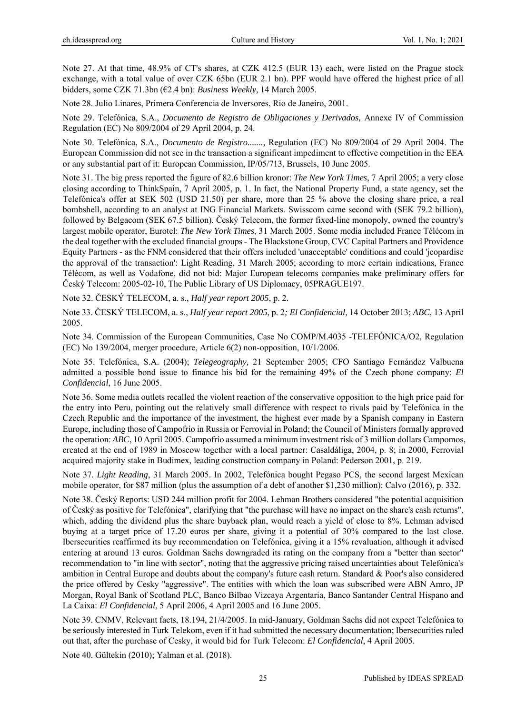Note 27. At that time, 48.9% of CT's shares, at CZK 412.5 (EUR 13) each, were listed on the Prague stock exchange, with a total value of over CZK 65bn (EUR 2.1 bn). PPF would have offered the highest price of all bidders, some CZK 71.3bn (€2.4 bn): *Business Weekly,* 14 March 2005.

Note 28. Julio Linares, Primera Conferencia de Inversores, Rio de Janeiro, 2001.

Note 29. Telefónica, S.A., *Documento de Registro de Obligaciones y Derivados,* Annexe IV of Commission Regulation (EC) No 809/2004 of 29 April 2004, p. 24.

Note 30. Telefónica, S.A., *Documento de Registro.......,* Regulation (EC) No 809/2004 of 29 April 2004. The European Commission did not see in the transaction a significant impediment to effective competition in the EEA or any substantial part of it: European Commission, IP/05/713, Brussels, 10 June 2005.

Note 31. The big press reported the figure of 82.6 billion kronor: *The New York Times*, 7 April 2005; a very close closing according to ThinkSpain, 7 April 2005, p. 1. In fact, the National Property Fund, a state agency, set the Telefónica's offer at SEK 502 (USD 21.50) per share, more than 25 % above the closing share price, a real bombshell, according to an analyst at ING Financial Markets. Swisscom came second with (SEK 79.2 billion), followed by Belgacom (SEK 67.5 billion). Český Telecom, the former fixed-line monopoly, owned the country's largest mobile operator, Eurotel: *The New York Times*, 31 March 2005. Some media included France Télécom in the deal together with the excluded financial groups - The Blackstone Group, CVC Capital Partners and Providence Equity Partners - as the FNM considered that their offers included 'unacceptable' conditions and could 'jeopardise the approval of the transaction': Light Reading, 31 March 2005; according to more certain indications, France Télécom, as well as Vodafone, did not bid: Major European telecoms companies make preliminary offers for Český Telecom: 2005-02-10, The Public Library of US Diplomacy, 05PRAGUE197.

Note 32. ČESKÝ TELECOM, a. s., *Half year report 2005*, p. 2.

Note 33. ČESKÝ TELECOM, a. s., *Half year report 2005*, p. 2*; El Confidencial,* 14 October 2013; *ABC*, 13 April 2005.

Note 34. Commission of the European Communities, Case No COMP/M.4035 -TELEFÓNICA/O2, Regulation (EC) No 139/2004, merger procedure, Article 6(2) non-opposition, 10/1/2006.

Note 35. Telefónica, S.A. (2004); *Telegeography,* 21 September 2005; CFO Santiago Fernández Valbuena admitted a possible bond issue to finance his bid for the remaining 49% of the Czech phone company: *El Confidencial*, 16 June 2005.

Note 36. Some media outlets recalled the violent reaction of the conservative opposition to the high price paid for the entry into Peru, pointing out the relatively small difference with respect to rivals paid by Telefónica in the Czech Republic and the importance of the investment, the highest ever made by a Spanish company in Eastern Europe, including those of Campofrío in Russia or Ferrovial in Poland; the Council of Ministers formally approved the operation: *ABC*, 10 April 2005. Campofrío assumed a minimum investment risk of 3 million dollars Campomos, created at the end of 1989 in Moscow together with a local partner: Casaldáliga, 2004, p. 8; in 2000, Ferrovial acquired majority stake in Budimex, leading construction company in Poland: Pederson 2001, p. 219.

Note 37. *Light Reading*, 31 March 2005. In 2002, Telefónica bought Pegaso PCS, the second largest Mexican mobile operator, for \$87 million (plus the assumption of a debt of another \$1,230 million): Calvo (2016), p. 332.

Note 38. Český Reports: USD 244 million profit for 2004. Lehman Brothers considered "the potential acquisition of Český as positive for Telefónica", clarifying that "the purchase will have no impact on the share's cash returns", which, adding the dividend plus the share buyback plan, would reach a yield of close to 8%. Lehman advised buying at a target price of 17.20 euros per share, giving it a potential of 30% compared to the last close. Ibersecurities reaffirmed its buy recommendation on Telefónica, giving it a 15% revaluation, although it advised entering at around 13 euros. Goldman Sachs downgraded its rating on the company from a "better than sector" recommendation to "in line with sector", noting that the aggressive pricing raised uncertainties about Telefónica's ambition in Central Europe and doubts about the company's future cash return. Standard & Poor's also considered the price offered by Cesky "aggressive". The entities with which the loan was subscribed were ABN Amro, JP Morgan, Royal Bank of Scotland PLC, Banco Bilbao Vizcaya Argentaria, Banco Santander Central Hispano and La Caixa: *El Confidencial*, 5 April 2006, 4 April 2005 and 16 June 2005.

Note 39. CNMV, Relevant facts, 18.194, 21/4/2005. In mid-January, Goldman Sachs did not expect Telefónica to be seriously interested in Turk Telekom, even if it had submitted the necessary documentation; Ibersecurities ruled out that, after the purchase of Cesky, it would bid for Turk Telecom: *El Confidencial*, 4 April 2005.

Note 40. Gültekin (2010); Yalman et al. (2018).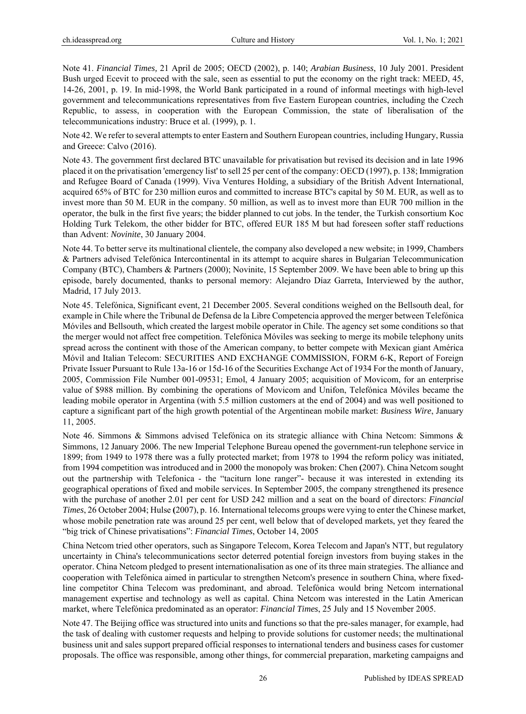Note 41. *Financial Times,* 21 April de 2005; OECD (2002), p. 140; *Arabian Business*, 10 July 2001. President Bush urged Ecevit to proceed with the sale, seen as essential to put the economy on the right track: MEED, 45, 14-26, 2001, p. 19. In mid-1998, the World Bank participated in a round of informal meetings with high-level government and telecommunications representatives from five Eastern European countries, including the Czech Republic, to assess, in cooperation with the European Commission, the state of liberalisation of the telecommunications industry: Bruce et al. (1999), p. 1.

Note 42. We refer to several attempts to enter Eastern and Southern European countries, including Hungary, Russia and Greece: Calvo (2016).

Note 43. The government first declared BTC unavailable for privatisation but revised its decision and in late 1996 placed it on the privatisation 'emergency list' to sell 25 per cent of the company: OECD (1997), p. 138; Immigration and Refugee Board of Canada (1999). Viva Ventures Holding, a subsidiary of the British Advent International, acquired 65% of BTC for 230 million euros and committed to increase BTC's capital by 50 M. EUR, as well as to invest more than 50 M. EUR in the company. 50 million, as well as to invest more than EUR 700 million in the operator, the bulk in the first five years; the bidder planned to cut jobs. In the tender, the Turkish consortium Koc Holding Turk Telekom, the other bidder for BTC, offered EUR 185 M but had foreseen softer staff reductions than Advent: *Novinite*, 30 January 2004.

Note 44. To better serve its multinational clientele, the company also developed a new website; in 1999, Chambers & Partners advised Telefónica Intercontinental in its attempt to acquire shares in Bulgarian Telecommunication Company (BTC), Chambers & Partners (2000); Novinite, 15 September 2009. We have been able to bring up this episode, barely documented, thanks to personal memory: Alejandro Díaz Garreta, Interviewed by the author, Madrid, 17 July 2013.

Note 45. Telefónica, Significant event, 21 December 2005. Several conditions weighed on the Bellsouth deal, for example in Chile where the Tribunal de Defensa de la Libre Competencia approved the merger between Telefónica Móviles and Bellsouth, which created the largest mobile operator in Chile. The agency set some conditions so that the merger would not affect free competition. Telefónica Móviles was seeking to merge its mobile telephony units spread across the continent with those of the American company, to better compete with Mexican giant América Móvil and Italian Telecom: SECURITIES AND EXCHANGE COMMISSION, FORM 6-K, Report of Foreign Private Issuer Pursuant to Rule 13a-16 or 15d-16 of the Securities Exchange Act of 1934 For the month of January, 2005, Commission File Number 001-09531; Emol, 4 January 2005; acquisition of Movicom, for an enterprise value of \$988 million. By combining the operations of Movicom and Unifon, Telefónica Móviles became the leading mobile operator in Argentina (with 5.5 million customers at the end of 2004) and was well positioned to capture a significant part of the high growth potential of the Argentinean mobile market: *Business Wire*, January 11, 2005.

Note 46. Simmons & Simmons advised Telefónica on its strategic alliance with China Netcom: Simmons & Simmons, 12 January 2006. The new Imperial Telephone Bureau opened the government-run telephone service in 1899; from 1949 to 1978 there was a fully protected market; from 1978 to 1994 the reform policy was initiated, from 1994 competition was introduced and in 2000 the monopoly was broken: Chen **(**2007). China Netcom sought out the partnership with Telefonica - the "taciturn lone ranger"- because it was interested in extending its geographical operations of fixed and mobile services. In September 2005, the company strengthened its presence with the purchase of another 2.01 per cent for USD 242 million and a seat on the board of directors: *Financial Times*, 26 October 2004; Hulse **(**2007), p. 16. International telecoms groups were vying to enter the Chinese market, whose mobile penetration rate was around 25 per cent, well below that of developed markets, yet they feared the "big trick of Chinese privatisations": *Financial Times*, October 14, 2005

China Netcom tried other operators, such as Singapore Telecom, Korea Telecom and Japan's NTT, but regulatory uncertainty in China's telecommunications sector deterred potential foreign investors from buying stakes in the operator. China Netcom pledged to present internationalisation as one of its three main strategies. The alliance and cooperation with Telefónica aimed in particular to strengthen Netcom's presence in southern China, where fixedline competitor China Telecom was predominant, and abroad. Telefónica would bring Netcom international management expertise and technology as well as capital. China Netcom was interested in the Latin American market, where Telefónica predominated as an operator: *Financial Times*, 25 July and 15 November 2005.

Note 47. The Beijing office was structured into units and functions so that the pre-sales manager, for example, had the task of dealing with customer requests and helping to provide solutions for customer needs; the multinational business unit and sales support prepared official responses to international tenders and business cases for customer proposals. The office was responsible, among other things, for commercial preparation, marketing campaigns and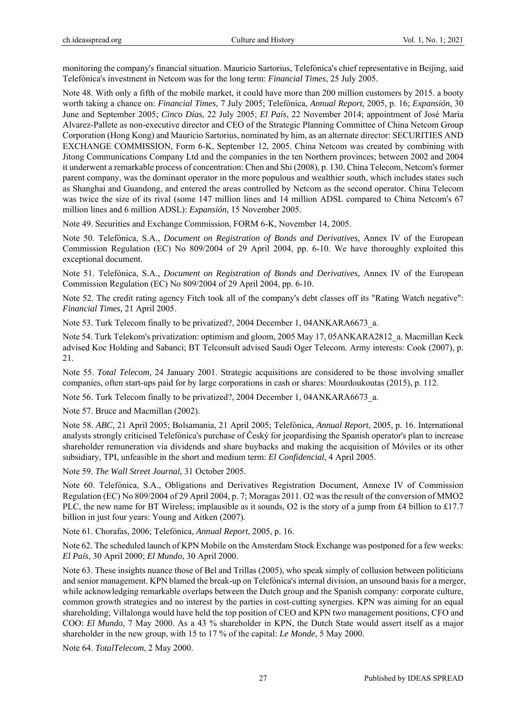monitoring the company's financial situation. Mauricio Sartorius, Telefónica's chief representative in Beijing, said Telefónica's investment in Netcom was for the long term: *Financial Times*, 25 July 2005.

Note 48. With only a fifth of the mobile market, it could have more than 200 million customers by 2015. a booty worth taking a chance on: *Financial Times*, 7 July 2005; Telefónica, *Annual Report*, 2005, p. 16; *Expansión*, 30 June and September 2005; *Cinco Días*, 22 July 2005; *El País*, 22 November 2014; appointment of José María Alvarez-Pallete as non-executive director and CEO of the Strategic Planning Committee of China Netcom Group Corporation (Hong Kong) and Mauricio Sartorius, nominated by him, as an alternate director: SECURITIES AND EXCHANGE COMMISSION, Form 6-K, September 12, 2005. China Netcom was created by combining with Jitong Communications Company Ltd and the companies in the ten Northern provinces; between 2002 and 2004 it underwent a remarkable process of concentration: Chen and Shi (2008), p. 130. China Telecom, Netcom's former parent company, was the dominant operator in the more populous and wealthier south, which includes states such as Shanghai and Guandong, and entered the areas controlled by Netcom as the second operator. China Telecom was twice the size of its rival (some 147 million lines and 14 million ADSL compared to China Netcom's 67 million lines and 6 million ADSL): *Expansión*, 15 November 2005.

Note 49. Securities and Exchange Commission, FORM 6-K, November 14, 2005.

Note 50. Telefónica, S.A., *Document on Registration of Bonds and Derivatives,* Annex IV of the European Commission Regulation (EC) No 809/2004 of 29 April 2004, pp. 6-10. We have thoroughly exploited this exceptional document.

Note 51. Telefónica, S.A., *Document on Registration of Bonds and Derivatives,* Annex IV of the European Commission Regulation (EC) No 809/2004 of 29 April 2004, pp. 6-10.

Note 52. The credit rating agency Fitch took all of the company's debt classes off its "Rating Watch negative": *Financial Times,* 21 April 2005.

Note 53. Turk Telecom finally to be privatized?, 2004 December 1, 04ANKARA6673\_a.

Note 54. Turk Telekom's privatization: optimism and gloom, 2005 May 17, 05ANKARA2812\_a. Macmillan Keck advised Koc Holding and Sabanci; BT Telconsult advised Saudi Oger Telecom. Army interests: Cook (2007), p. 21.

Note 55. *Total Telecom*, 24 January 2001. Strategic acquisitions are considered to be those involving smaller companies, often start-ups paid for by large corporations in cash or shares: Mourdoukoutas (2015), p. 112.

Note 56. Turk Telecom finally to be privatized?, 2004 December 1, 04ANKARA6673\_a.

Note 57. Bruce and Macmillan (2002).

Note 58. *ABC,* 21 April 2005; Bolsamania, 21 April 2005; Telefónica, *Annual Report*, 2005, p. 16. International analysts strongly criticised Telefónica's purchase of Český for jeopardising the Spanish operator's plan to increase shareholder remuneration via dividends and share buybacks and making the acquisition of Móviles or its other subsidiary, TPI, unfeasible in the short and medium term: *El Confidencial*, 4 April 2005.

Note 59. *The Wall Street Journal*, 31 October 2005.

Note 60. Telefónica, S.A., Obligations and Derivatives Registration Document, Annexe IV of Commission Regulation (EC) No 809/2004 of 29 April 2004, p. 7; Moragas 2011. O2 was the result of the conversion of MMO2 PLC, the new name for BT Wireless; implausible as it sounds, O2 is the story of a jump from £4 billion to £17.7 billion in just four years: Young and Aitken (2007).

Note 61. Chorafas, 2006; Telefónica, *Annual Report*, 2005, p. 16.

Note 62. The scheduled launch of KPN Mobile on the Amsterdam Stock Exchange was postponed for a few weeks: *El País*, 30 April 2000; *El Mundo*, 30 April 2000.

Note 63. These insights nuance those of Bel and Trillas (2005), who speak simply of collusion between politicians and senior management. KPN blamed the break-up on Telefónica's internal division, an unsound basis for a merger, while acknowledging remarkable overlaps between the Dutch group and the Spanish company: corporate culture, common growth strategies and no interest by the parties in cost-cutting synergies. KPN was aiming for an equal shareholding; Villalonga would have held the top position of CEO and KPN two management positions, CFO and COO: *El Mundo*, 7 May 2000. As a 43 % shareholder in KPN, the Dutch State would assert itself as a major shareholder in the new group, with 15 to 17 % of the capital: *Le Monde*, 5 May 2000.

Note 64. *TotalTelecom*, 2 May 2000.